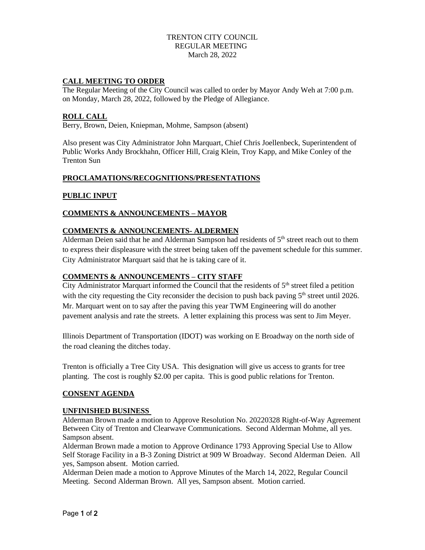### TRENTON CITY COUNCIL REGULAR MEETING March 28, 2022

### **CALL MEETING TO ORDER**

The Regular Meeting of the City Council was called to order by Mayor Andy Weh at 7:00 p.m. on Monday, March 28, 2022, followed by the Pledge of Allegiance.

#### **ROLL CALL**

Berry, Brown, Deien, Kniepman, Mohme, Sampson (absent)

Also present was City Administrator John Marquart, Chief Chris Joellenbeck, Superintendent of Public Works Andy Brockhahn, Officer Hill, Craig Klein, Troy Kapp, and Mike Conley of the Trenton Sun

#### **PROCLAMATIONS/RECOGNITIONS/PRESENTATIONS**

### **PUBLIC INPUT**

## **COMMENTS & ANNOUNCEMENTS – MAYOR**

### **COMMENTS & ANNOUNCEMENTS- ALDERMEN**

Alderman Deien said that he and Alderman Sampson had residents of 5<sup>th</sup> street reach out to them to express their displeasure with the street being taken off the pavement schedule for this summer. City Administrator Marquart said that he is taking care of it.

## **COMMENTS & ANNOUNCEMENTS – CITY STAFF**

City Administrator Marquart informed the Council that the residents of  $5<sup>th</sup>$  street filed a petition with the city requesting the City reconsider the decision to push back paving  $5<sup>th</sup>$  street until 2026. Mr. Marquart went on to say after the paving this year TWM Engineering will do another pavement analysis and rate the streets. A letter explaining this process was sent to Jim Meyer.

Illinois Department of Transportation (IDOT) was working on E Broadway on the north side of the road cleaning the ditches today.

Trenton is officially a Tree City USA. This designation will give us access to grants for tree planting. The cost is roughly \$2.00 per capita. This is good public relations for Trenton.

#### **CONSENT AGENDA**

#### **UNFINISHED BUSINESS**

Alderman Brown made a motion to Approve Resolution No. 20220328 Right-of-Way Agreement Between City of Trenton and Clearwave Communications. Second Alderman Mohme, all yes. Sampson absent.

Alderman Brown made a motion to Approve Ordinance 1793 Approving Special Use to Allow Self Storage Facility in a B-3 Zoning District at 909 W Broadway. Second Alderman Deien. All yes, Sampson absent. Motion carried.

Alderman Deien made a motion to Approve Minutes of the March 14, 2022, Regular Council Meeting. Second Alderman Brown. All yes, Sampson absent. Motion carried.